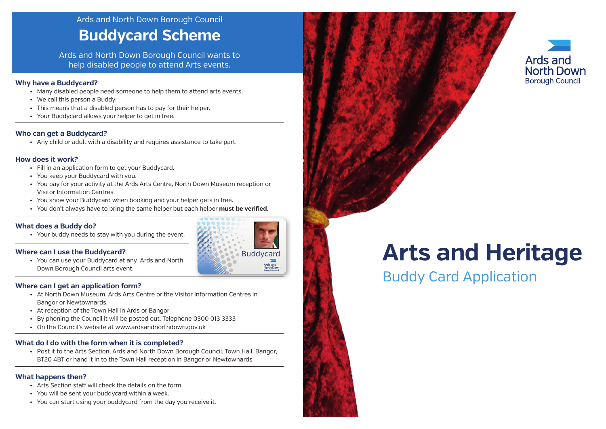# Buddy Card Application **Arts and Heritage**

# Ards and North Down Borough Council **Buddycard Scheme**

Ards and North Down Borough Council wants to help disabled people to attend Arts events.

### **Why have a Buddycard?**

- Many disabled people need someone to help them to attend arts events.
- We call this person a Buddy.
- This means that a disabled person has to pay for their helper.
- Your Buddycard allows your helper to get in free.

### **Who can get a Buddycard?**

• Any child or adult with a disability and requires assistance to take part.

### **How does it work?**

- Fill in an application form to get your Buddycard.
- You keep your Buddycard with you.
- You pay for your activity at the Ards Arts Centre, North Down Museum reception or Visitor Information Centres.
- You show your Buddycard when booking and your helper gets in free.
- You don't always have to bring the same helper but each helper **must be verified**.

### **What does a Buddy do?**

• Your buddy needs to stay with you during the event.

### **Where can I use the Buddycard?**

• You can use your Buddycard at any Ards and North Down Borough Council arts event.

### **Where can I get an application form?**

- At North Down Museum, Ards Arts Centre or the Visitor Information Centres in Bangor or Newtownards.
- At reception of the Town Hall in Ards or Bangor
- By phoning the Council it will be posted out. Telephone 0300 013 3333
- On the Council's website at www.ardsandnorthdown.gov.uk

### **What do I do with the form when it is completed?**

• Post it to the Arts Section, Ards and North Down Borough Council, Town Hall, Bangor, BT20 4BT or hand it in to the Town Hall reception in Bangor or Newtownards.

### **What happens then?**

- Arts Section staff will check the details on the form.
- You will be sent your buddycard within a week.
- You can start using your buddycard from the day you receive it.